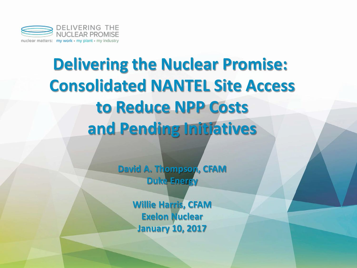

# **Delivering the Nuclear Promise: Consolidated NANTEL Site Access to Reduce NPP Costs and Pending Initiatives**

**David A. Thompson, CFAM Duke Energy**

> **Willie Harris, CFAM Exelon Nuclear January 10, 2017**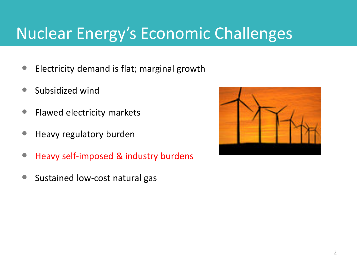# Nuclear Energy's Economic Challenges

- **Electricity demand is flat; marginal growth**
- **Subsidized wind**
- **•** Flawed electricity markets
- Heavy regulatory burden
- Heavy self-imposed & industry burdens
- Sustained low-cost natural gas

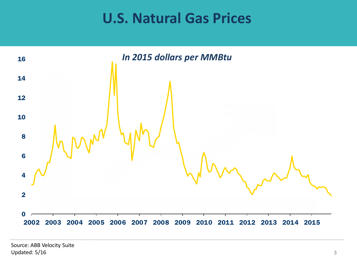# **U.S. Natural Gas Prices**

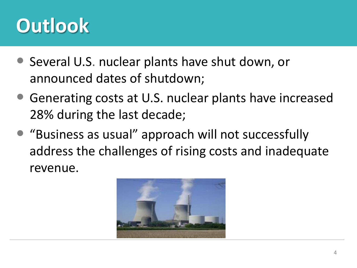# **Outlook**

- Several U.S. nuclear plants have shut down, or announced dates of shutdown;
- Generating costs at U.S. nuclear plants have increased 28% during the last decade;
- "Business as usual" approach will not successfully address the challenges of rising costs and inadequate revenue.

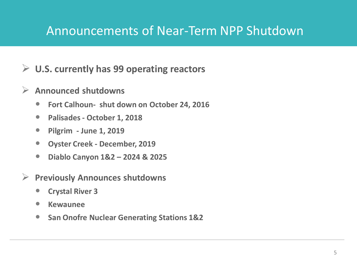#### Announcements of Near-Term NPP Shutdown

#### **U.S. currently has 99 operating reactors**

#### **Announced shutdowns**

- **Fort Calhoun- shut down on October 24, 2016**
- **Palisades - October 1, 2018**
- **Pilgrim - June 1, 2019**
- **Oyster Creek - December, 2019**
- **Diablo Canyon 1&2 – 2024 & 2025**
- **Previously Announces shutdowns**
	- **Crystal River 3**
	- **•** Kewaunee
	- **San Onofre Nuclear Generating Stations 1&2**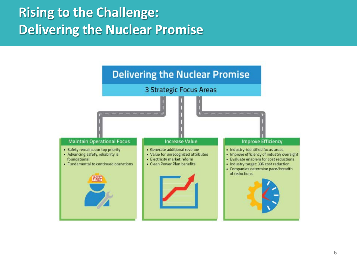# **Rising to the Challenge: Delivering the Nuclear Promise**

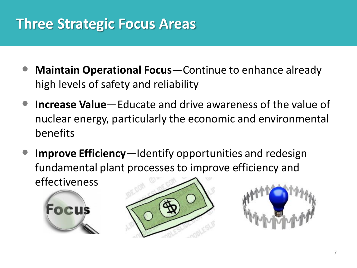# **Three Strategic Focus Areas**

- **Maintain Operational Focus**—Continue to enhance already high levels of safety and reliability
- **Increase Value**—Educate and drive awareness of the value of nuclear energy, particularly the economic and environmental benefits
- **Improve Efficiency**—Identify opportunities and redesign fundamental plant processes to improve efficiency and effectiveness





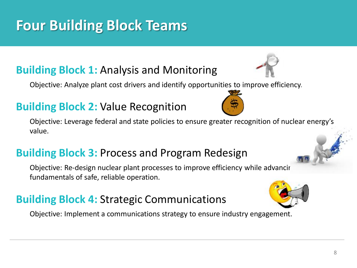8

# **Four Building Block Teams**

#### **Building Block 1:** Analysis and Monitoring

Objective: Analyze plant cost drivers and identify opportunities to improve efficiency.

#### **Building Block 2:** Value Recognition

Objective: Leverage federal and state policies to ensure greater recognition of nuclear energy's value.

#### **Building Block 3:** Process and Program Redesign

Objective: Re-design nuclear plant processes to improve efficiency while advancir fundamentals of safe, reliable operation.

#### **Building Block 4:** Strategic Communications

Objective: Implement a communications strategy to ensure industry engagement.





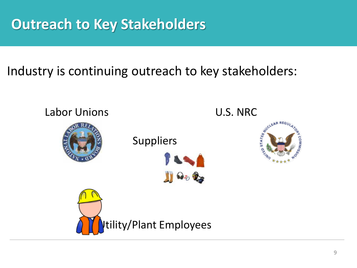# **Outreach to Key Stakeholders**

#### Industry is continuing outreach to key stakeholders:

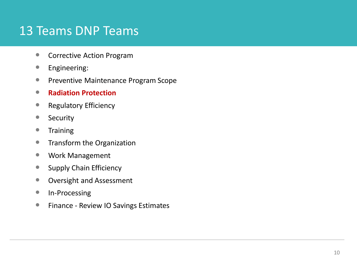#### 13 Teams DNP Teams

- **Corrective Action Program**
- **•** Engineering:
- **Preventive Maintenance Program Scope**
- **Radiation Protection**
- **Regulatory Efficiency**
- Security
- **•** Training
- **•** Transform the Organization
- Work Management
- **Supply Chain Efficiency**
- **Oversight and Assessment**
- **In-Processing**
- **Finance Review IO Savings Estimates**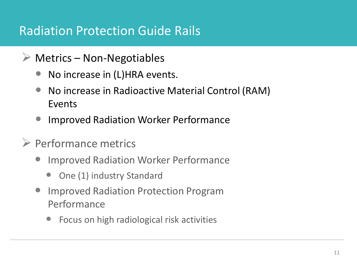#### Radiation Protection Guide Rails

- $\triangleright$  Metrics Non-Negotiables
	- No increase in (L)HRA events.
	- No increase in Radioactive Material Control (RAM) Events
	- Improved Radiation Worker Performance
- $\triangleright$  Performance metrics
	- Improved Radiation Worker Performance
		- One (1) industry Standard
	- Improved Radiation Protection Program Performance
		- Focus on high radiological risk activities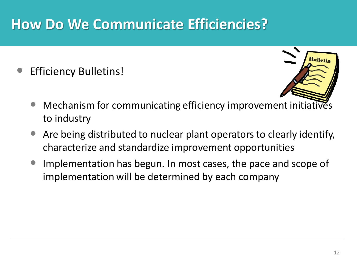# **How Do We Communicate Efficiencies?**

Efficiency Bulletins!



- Mechanism for communicating efficiency improvement initiatives to industry
- Are being distributed to nuclear plant operators to clearly identify, characterize and standardize improvement opportunities
- Implementation has begun. In most cases, the pace and scope of implementation will be determined by each company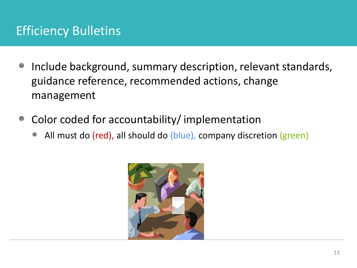### Efficiency Bulletins

- Include background, summary description, relevant standards, guidance reference, recommended actions, change management
- Color coded for accountability/ implementation
	- All must do (red), all should do (blue), company discretion (green)

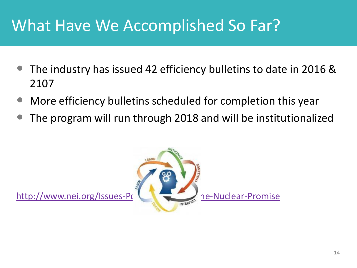# What Have We Accomplished So Far?

- The industry has issued 42 efficiency bulletins to date in 2016 & 2107
- More efficiency bulletins scheduled for completion this year
- The program will run through 2018 and will be institutionalized

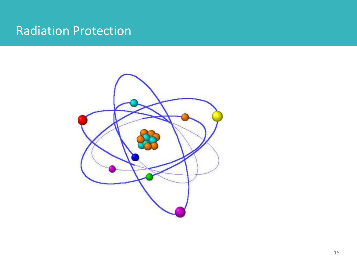#### Radiation Protection

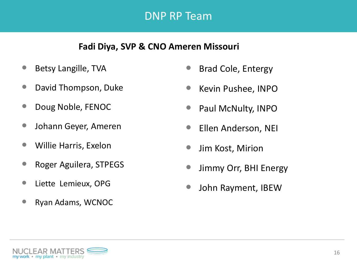#### DNP RP Team

#### **Fadi Diya, SVP & CNO Ameren Missouri**

- Betsy Langille, TVA
- David Thompson, Duke
- Doug Noble, FENOC
- Johann Geyer, Ameren
- Willie Harris, Exelon
- Roger Aguilera, STPEGS
- **•** Liette Lemieux, OPG
- Ryan Adams, WCNOC
- Brad Cole, Entergy
- Kevin Pushee, INPO
- Paul McNulty, INPO
- Ellen Anderson, NEI
- Jim Kost, Mirion
- Jimmy Orr, BHI Energy
- John Rayment, IBEW

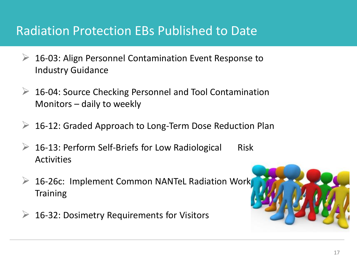#### Radiation Protection EBs Published to Date

- **▶ 16-03: Align Personnel Contamination Event Response to** Industry Guidance
- **► 16-04: Source Checking Personnel and Tool Contamination** Monitors – daily to weekly
- **► 16-12: Graded Approach to Long-Term Dose Reduction Plan**
- 16-13: Perform Self-Briefs for Low Radiological Risk Activities
- $\triangleright$  16-26c: Implement Common NANTeL Radiation Work **Training**
- 16-32: Dosimetry Requirements for Visitors

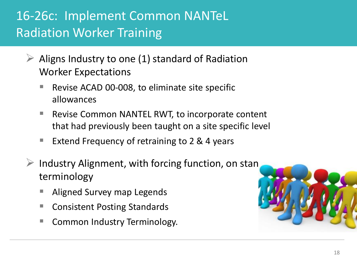# 16-26c: Implement Common NANTeL Radiation Worker Training

- Aligns Industry to one (1) standard of Radiation Worker Expectations
	- Revise ACAD 00-008, to eliminate site specific allowances
	- Revise Common NANTEL RWT, to incorporate content that had previously been taught on a site specific level
	- Extend Frequency of retraining to  $2 \& 4$  years
- $\triangleright$  Industry Alignment, with forcing function, on stan terminology
	- Aligned Survey map Legends
	- Consistent Posting Standards
	- Common Industry Terminology.

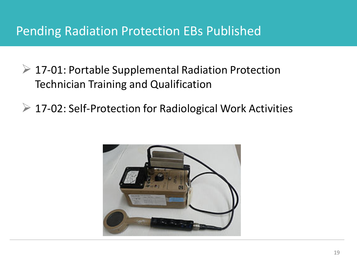#### Pending Radiation Protection EBs Published

- $\triangleright$  17-01: Portable Supplemental Radiation Protection Technician Training and Qualification
- **▶ 17-02: Self-Protection for Radiological Work Activities**

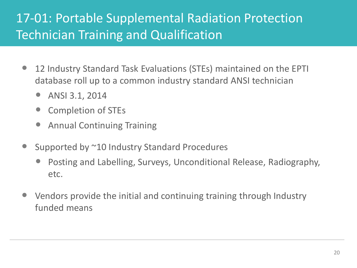# 17-01: Portable Supplemental Radiation Protection Technician Training and Qualification

- 12 Industry Standard Task Evaluations (STEs) maintained on the EPTI database roll up to a common industry standard ANSI technician
	- ANSI 3.1, 2014
	- Completion of STEs
	- Annual Continuing Training
- Supported by ~10 Industry Standard Procedures
	- Posting and Labelling, Surveys, Unconditional Release, Radiography, etc.
- Vendors provide the initial and continuing training through Industry funded means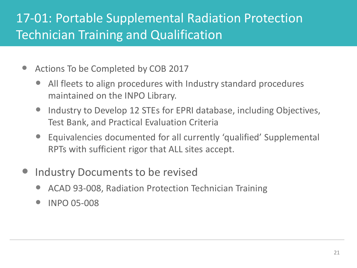# 17-01: Portable Supplemental Radiation Protection Technician Training and Qualification

- Actions To be Completed by COB 2017
	- All fleets to align procedures with Industry standard procedures maintained on the INPO Library.
	- Industry to Develop 12 STEs for EPRI database, including Objectives, Test Bank, and Practical Evaluation Criteria
	- Equivalencies documented for all currently 'qualified' Supplemental RPTs with sufficient rigor that ALL sites accept.
- Industry Documents to be revised
	- ACAD 93-008, Radiation Protection Technician Training
	- INPO 05-008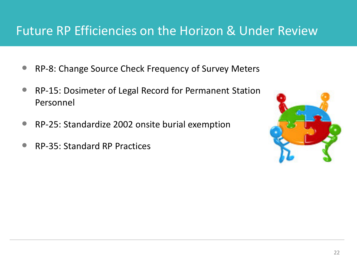### Future RP Efficiencies on the Horizon & Under Review

- RP-8: Change Source Check Frequency of Survey Meters
- RP-15: Dosimeter of Legal Record for Permanent Station Personnel
- RP-25: Standardize 2002 onsite burial exemption
- RP-35: Standard RP Practices

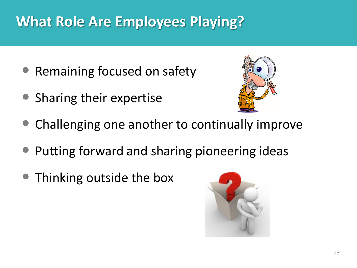# **What Role Are Employees Playing?**

- Remaining focused on safety
- Sharing their expertise



- Challenging one another to continually improve
- Putting forward and sharing pioneering ideas
- Thinking outside the box

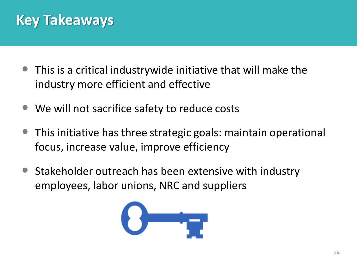# **Key Takeaways**

- This is a critical industrywide initiative that will make the industry more efficient and effective
- We will not sacrifice safety to reduce costs
- This initiative has three strategic goals: maintain operational focus, increase value, improve efficiency
- Stakeholder outreach has been extensive with industry employees, labor unions, NRC and suppliers